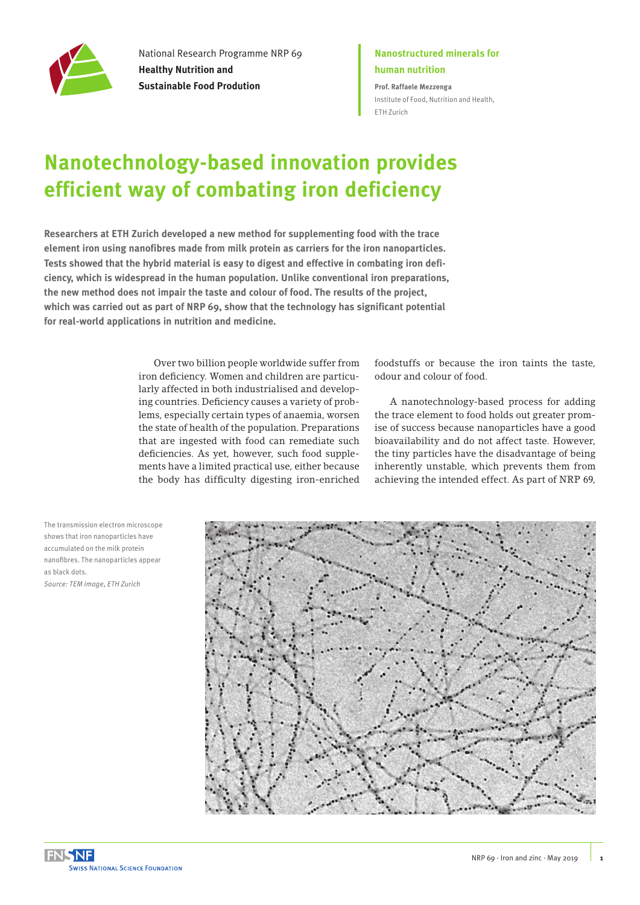

National Research Programme NRP 69 **Healthy Nutrition and Sustainable Food Prodution**

## **Nanostructured minerals for human nutrition**

**Prof. Raffaele Mezzenga** [Institute of Food, Nutrition and Health,](https://www.hest.ethz.ch/en)  [ETH Zurich](https://www.hest.ethz.ch/en)

## **Nanotechnology-based innovation provides efficient way of combating iron deficiency**

**Researchers at ETH Zurich developed a new method for supplementing food with the trace element iron using nanofibres made from milk protein as carriers for the iron nanoparticles. Tests showed that the hybrid material is easy to digest and effective in combating iron deficiency, which is widespread in the human population. Unlike conventional iron preparations, the new method does not impair the taste and colour of food. The results of the project, which was carried out as part of NRP 69, show that the technology has significant potential for real-world applications in nutrition and medicine.**

> Over two billion people worldwide suffer from iron deficiency. Women and children are particularly affected in both industrialised and developing countries. Deficiency causes a variety of problems, especially certain types of anaemia, worsen the state of health of the population. Preparations that are ingested with food can remediate such deficiencies. As yet, however, such food supplements have a limited practical use, either because the body has difficulty digesting iron-enriched

foodstuffs or because the iron taints the taste, odour and colour of food.

A nanotechnology-based process for adding the trace element to food holds out greater promise of success because nanoparticles have a good bioavailability and do not affect taste. However, the tiny particles have the disadvantage of being inherently unstable, which prevents them from achieving the intended effect. As part of NRP 69,

The transmission electron microscope shows that iron nanoparticles have accumulated on the milk protein nanofibres. The nanoparticles appear as black dots. *Source: TEM image, ETH Zurich*